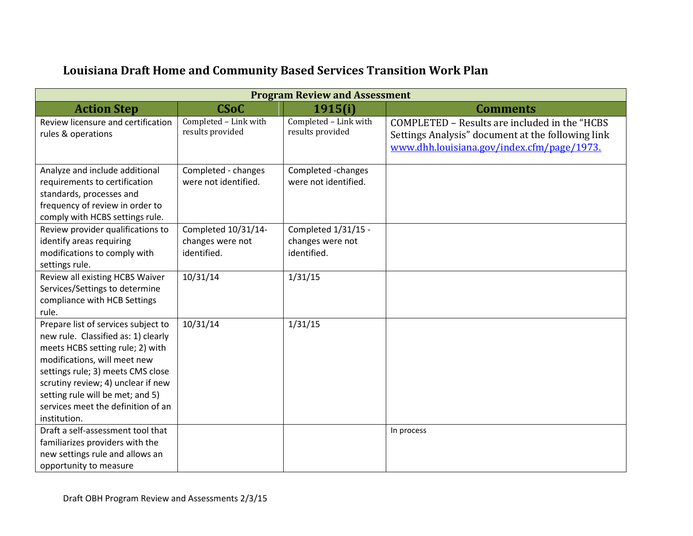| <b>Louisiana Draft Home and Community Based Services Transition Work Plan</b> |
|-------------------------------------------------------------------------------|
|-------------------------------------------------------------------------------|

| <b>Program Review and Assessment</b>                                                                                                                                                                                                                                                                                |                                                        |                                                        |                                                                                                                                                  |  |  |
|---------------------------------------------------------------------------------------------------------------------------------------------------------------------------------------------------------------------------------------------------------------------------------------------------------------------|--------------------------------------------------------|--------------------------------------------------------|--------------------------------------------------------------------------------------------------------------------------------------------------|--|--|
| <b>Action Step</b><br><b>CSoC</b><br>1915(i)<br><b>Comments</b>                                                                                                                                                                                                                                                     |                                                        |                                                        |                                                                                                                                                  |  |  |
| Review licensure and certification<br>rules & operations                                                                                                                                                                                                                                                            | Completed - Link with<br>results provided              | Completed - Link with<br>results provided              | COMPLETED - Results are included in the "HCBS<br>Settings Analysis" document at the following link<br>www.dhh.louisiana.gov/index.cfm/page/1973. |  |  |
| Analyze and include additional<br>requirements to certification<br>standards, processes and<br>frequency of review in order to<br>comply with HCBS settings rule.                                                                                                                                                   | Completed - changes<br>were not identified.            | Completed -changes<br>were not identified.             |                                                                                                                                                  |  |  |
| Review provider qualifications to<br>identify areas requiring<br>modifications to comply with<br>settings rule.                                                                                                                                                                                                     | Completed 10/31/14-<br>changes were not<br>identified. | Completed 1/31/15 -<br>changes were not<br>identified. |                                                                                                                                                  |  |  |
| Review all existing HCBS Waiver<br>Services/Settings to determine<br>compliance with HCB Settings<br>rule.                                                                                                                                                                                                          | 10/31/14                                               | 1/31/15                                                |                                                                                                                                                  |  |  |
| Prepare list of services subject to<br>new rule. Classified as: 1) clearly<br>meets HCBS setting rule; 2) with<br>modifications, will meet new<br>settings rule; 3) meets CMS close<br>scrutiny review; 4) unclear if new<br>setting rule will be met; and 5)<br>services meet the definition of an<br>institution. | 10/31/14                                               | 1/31/15                                                |                                                                                                                                                  |  |  |
| Draft a self-assessment tool that<br>familiarizes providers with the<br>new settings rule and allows an<br>opportunity to measure                                                                                                                                                                                   |                                                        |                                                        | In process                                                                                                                                       |  |  |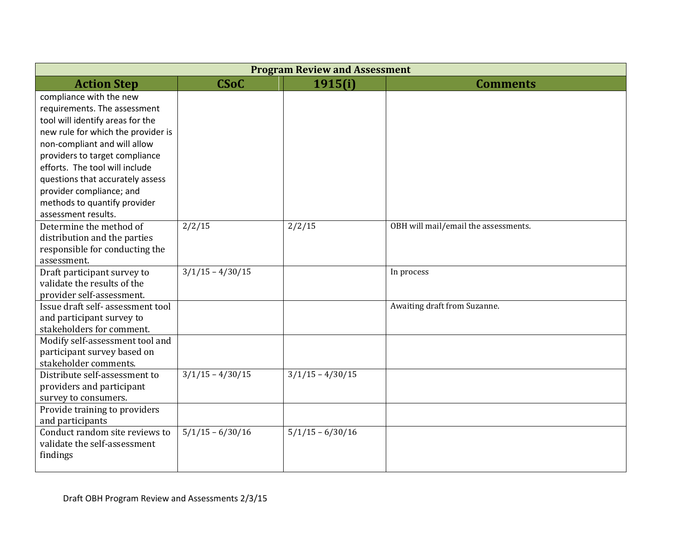| <b>Program Review and Assessment</b>                            |                    |                    |                                      |  |  |
|-----------------------------------------------------------------|--------------------|--------------------|--------------------------------------|--|--|
| <b>CSoC</b><br>1915(i)<br><b>Action Step</b><br><b>Comments</b> |                    |                    |                                      |  |  |
| compliance with the new                                         |                    |                    |                                      |  |  |
| requirements. The assessment                                    |                    |                    |                                      |  |  |
| tool will identify areas for the                                |                    |                    |                                      |  |  |
| new rule for which the provider is                              |                    |                    |                                      |  |  |
| non-compliant and will allow                                    |                    |                    |                                      |  |  |
| providers to target compliance                                  |                    |                    |                                      |  |  |
| efforts. The tool will include                                  |                    |                    |                                      |  |  |
| questions that accurately assess                                |                    |                    |                                      |  |  |
| provider compliance; and                                        |                    |                    |                                      |  |  |
| methods to quantify provider                                    |                    |                    |                                      |  |  |
| assessment results.                                             |                    |                    |                                      |  |  |
| Determine the method of                                         | 2/2/15             | 2/2/15             | OBH will mail/email the assessments. |  |  |
| distribution and the parties                                    |                    |                    |                                      |  |  |
| responsible for conducting the                                  |                    |                    |                                      |  |  |
| assessment.                                                     |                    |                    |                                      |  |  |
| Draft participant survey to                                     | $3/1/15 - 4/30/15$ |                    | In process                           |  |  |
| validate the results of the                                     |                    |                    |                                      |  |  |
| provider self-assessment.<br>Issue draft self- assessment tool  |                    |                    | Awaiting draft from Suzanne.         |  |  |
| and participant survey to                                       |                    |                    |                                      |  |  |
| stakeholders for comment.                                       |                    |                    |                                      |  |  |
| Modify self-assessment tool and                                 |                    |                    |                                      |  |  |
| participant survey based on                                     |                    |                    |                                      |  |  |
| stakeholder comments.                                           |                    |                    |                                      |  |  |
| Distribute self-assessment to                                   | $3/1/15 - 4/30/15$ | $3/1/15 - 4/30/15$ |                                      |  |  |
| providers and participant                                       |                    |                    |                                      |  |  |
| survey to consumers.                                            |                    |                    |                                      |  |  |
| Provide training to providers                                   |                    |                    |                                      |  |  |
| and participants                                                |                    |                    |                                      |  |  |
| Conduct random site reviews to                                  | $5/1/15 - 6/30/16$ | $5/1/15 - 6/30/16$ |                                      |  |  |
| validate the self-assessment                                    |                    |                    |                                      |  |  |
| findings                                                        |                    |                    |                                      |  |  |
|                                                                 |                    |                    |                                      |  |  |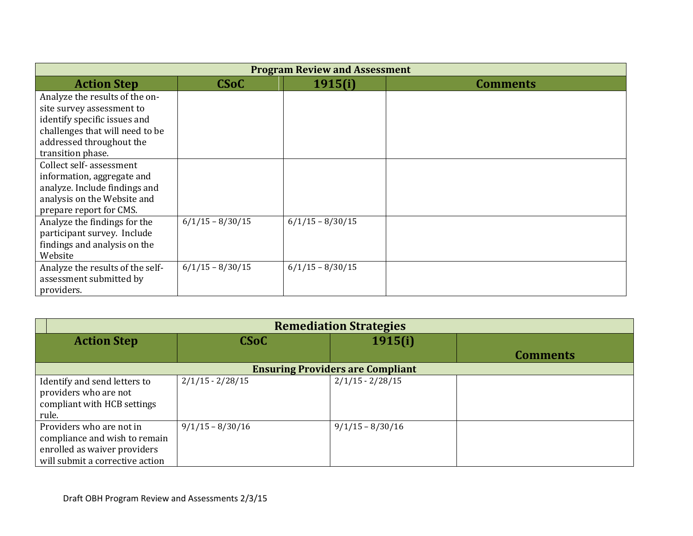| <b>Program Review and Assessment</b> |                    |                    |                 |  |
|--------------------------------------|--------------------|--------------------|-----------------|--|
| <b>Action Step</b>                   | <b>CSoC</b>        | 1915(i)            | <b>Comments</b> |  |
| Analyze the results of the on-       |                    |                    |                 |  |
| site survey assessment to            |                    |                    |                 |  |
| identify specific issues and         |                    |                    |                 |  |
| challenges that will need to be      |                    |                    |                 |  |
| addressed throughout the             |                    |                    |                 |  |
| transition phase.                    |                    |                    |                 |  |
| Collect self-assessment              |                    |                    |                 |  |
| information, aggregate and           |                    |                    |                 |  |
| analyze. Include findings and        |                    |                    |                 |  |
| analysis on the Website and          |                    |                    |                 |  |
| prepare report for CMS.              |                    |                    |                 |  |
| Analyze the findings for the         | $6/1/15 - 8/30/15$ | $6/1/15 - 8/30/15$ |                 |  |
| participant survey. Include          |                    |                    |                 |  |
| findings and analysis on the         |                    |                    |                 |  |
| Website                              |                    |                    |                 |  |
| Analyze the results of the self-     | $6/1/15 - 8/30/15$ | $6/1/15 - 8/30/15$ |                 |  |
| assessment submitted by              |                    |                    |                 |  |
| providers.                           |                    |                    |                 |  |

| <b>Remediation Strategies</b>                                                                                                |                    |                    |                 |  |
|------------------------------------------------------------------------------------------------------------------------------|--------------------|--------------------|-----------------|--|
| <b>Action Step</b>                                                                                                           | <b>CSoC</b>        | 1915(i)            |                 |  |
|                                                                                                                              |                    |                    | <b>Comments</b> |  |
| <b>Ensuring Providers are Compliant</b>                                                                                      |                    |                    |                 |  |
| Identify and send letters to<br>providers who are not<br>compliant with HCB settings<br>rule.                                | $2/1/15 - 2/28/15$ | $2/1/15 - 2/28/15$ |                 |  |
| Providers who are not in<br>compliance and wish to remain<br>enrolled as waiver providers<br>will submit a corrective action | $9/1/15 - 8/30/16$ | $9/1/15 - 8/30/16$ |                 |  |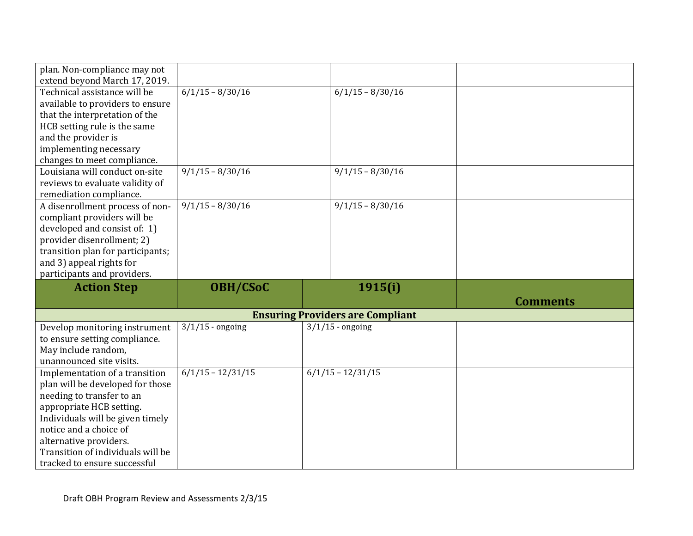| plan. Non-compliance may not<br>extend beyond March 17, 2019.     |                     |                                         |                 |
|-------------------------------------------------------------------|---------------------|-----------------------------------------|-----------------|
| Technical assistance will be                                      | $6/1/15 - 8/30/16$  | $6/1/15 - 8/30/16$                      |                 |
| available to providers to ensure                                  |                     |                                         |                 |
| that the interpretation of the                                    |                     |                                         |                 |
| HCB setting rule is the same                                      |                     |                                         |                 |
| and the provider is                                               |                     |                                         |                 |
| implementing necessary                                            |                     |                                         |                 |
| changes to meet compliance.                                       |                     |                                         |                 |
| Louisiana will conduct on-site                                    | $9/1/15 - 8/30/16$  | $\frac{9}{1}/15 - \frac{8}{30}/16$      |                 |
| reviews to evaluate validity of                                   |                     |                                         |                 |
| remediation compliance.                                           |                     |                                         |                 |
| A disenrollment process of non-                                   | $9/1/15 - 8/30/16$  | $9/1/15 - 8/30/16$                      |                 |
| compliant providers will be                                       |                     |                                         |                 |
| developed and consist of: 1)                                      |                     |                                         |                 |
| provider disenrollment; 2)                                        |                     |                                         |                 |
| transition plan for participants;                                 |                     |                                         |                 |
| and 3) appeal rights for                                          |                     |                                         |                 |
|                                                                   |                     |                                         |                 |
| participants and providers.                                       |                     |                                         |                 |
| <b>Action Step</b>                                                | <b>OBH/CSoC</b>     | 1915(i)                                 |                 |
|                                                                   |                     |                                         | <b>Comments</b> |
|                                                                   |                     | <b>Ensuring Providers are Compliant</b> |                 |
| Develop monitoring instrument                                     | $3/1/15$ - ongoing  | $3/1/15$ - ongoing                      |                 |
| to ensure setting compliance.                                     |                     |                                         |                 |
| May include random,                                               |                     |                                         |                 |
| unannounced site visits.                                          |                     |                                         |                 |
| Implementation of a transition                                    | $6/1/15 - 12/31/15$ | $6/1/15 - 12/31/15$                     |                 |
| plan will be developed for those                                  |                     |                                         |                 |
| needing to transfer to an                                         |                     |                                         |                 |
| appropriate HCB setting.                                          |                     |                                         |                 |
| Individuals will be given timely                                  |                     |                                         |                 |
| notice and a choice of                                            |                     |                                         |                 |
| alternative providers.                                            |                     |                                         |                 |
| Transition of individuals will be<br>tracked to ensure successful |                     |                                         |                 |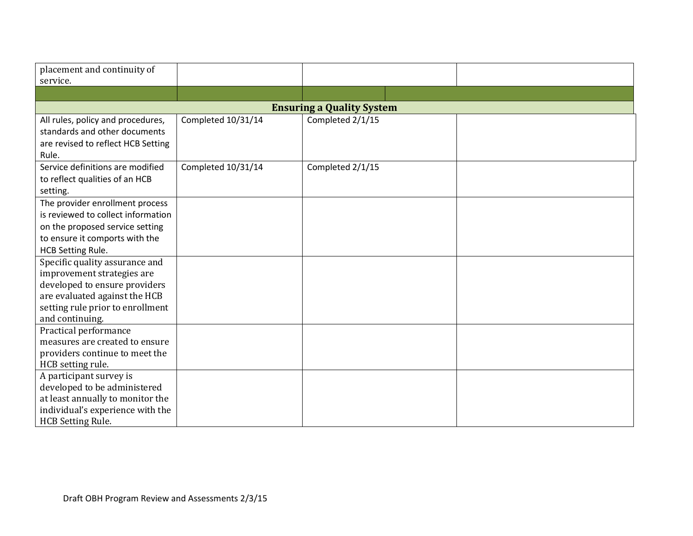| placement and continuity of<br>service.                 |                    |                  |  |  |  |
|---------------------------------------------------------|--------------------|------------------|--|--|--|
|                                                         |                    |                  |  |  |  |
| <b>Ensuring a Quality System</b>                        |                    |                  |  |  |  |
| All rules, policy and procedures,                       | Completed 10/31/14 | Completed 2/1/15 |  |  |  |
| standards and other documents                           |                    |                  |  |  |  |
| are revised to reflect HCB Setting                      |                    |                  |  |  |  |
| Rule.                                                   |                    |                  |  |  |  |
| Service definitions are modified                        | Completed 10/31/14 | Completed 2/1/15 |  |  |  |
| to reflect qualities of an HCB                          |                    |                  |  |  |  |
| setting.                                                |                    |                  |  |  |  |
| The provider enrollment process                         |                    |                  |  |  |  |
| is reviewed to collect information                      |                    |                  |  |  |  |
| on the proposed service setting                         |                    |                  |  |  |  |
| to ensure it comports with the                          |                    |                  |  |  |  |
| <b>HCB Setting Rule.</b>                                |                    |                  |  |  |  |
| Specific quality assurance and                          |                    |                  |  |  |  |
| improvement strategies are                              |                    |                  |  |  |  |
| developed to ensure providers                           |                    |                  |  |  |  |
| are evaluated against the HCB                           |                    |                  |  |  |  |
| setting rule prior to enrollment                        |                    |                  |  |  |  |
| and continuing.                                         |                    |                  |  |  |  |
| Practical performance<br>measures are created to ensure |                    |                  |  |  |  |
| providers continue to meet the                          |                    |                  |  |  |  |
| HCB setting rule.                                       |                    |                  |  |  |  |
| A participant survey is                                 |                    |                  |  |  |  |
| developed to be administered                            |                    |                  |  |  |  |
| at least annually to monitor the                        |                    |                  |  |  |  |
| individual's experience with the                        |                    |                  |  |  |  |
| HCB Setting Rule.                                       |                    |                  |  |  |  |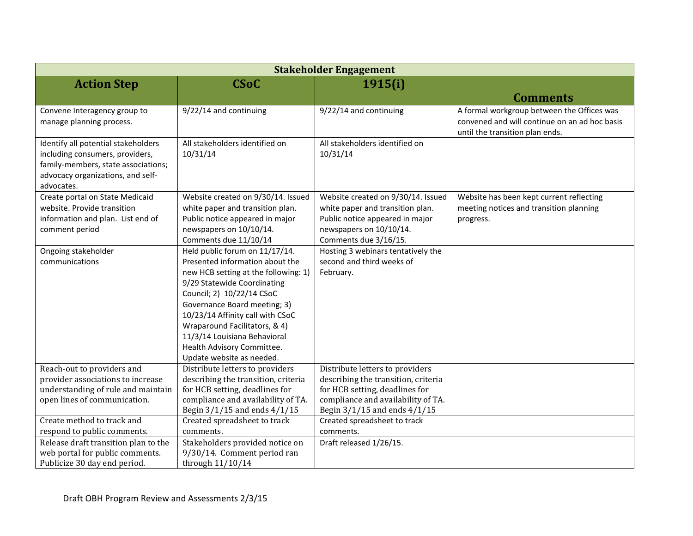| <b>Stakeholder Engagement</b>         |                                                                     |                                                                 |                                               |  |
|---------------------------------------|---------------------------------------------------------------------|-----------------------------------------------------------------|-----------------------------------------------|--|
| <b>Action Step</b>                    | <b>CSoC</b>                                                         | 1915(i)                                                         |                                               |  |
|                                       |                                                                     |                                                                 | <b>Comments</b>                               |  |
| Convene Interagency group to          | 9/22/14 and continuing                                              | 9/22/14 and continuing                                          | A formal workgroup between the Offices was    |  |
| manage planning process.              |                                                                     |                                                                 | convened and will continue on an ad hoc basis |  |
|                                       |                                                                     |                                                                 | until the transition plan ends.               |  |
| Identify all potential stakeholders   | All stakeholders identified on                                      | All stakeholders identified on                                  |                                               |  |
| including consumers, providers,       | 10/31/14                                                            | 10/31/14                                                        |                                               |  |
| family-members, state associations;   |                                                                     |                                                                 |                                               |  |
| advocacy organizations, and self-     |                                                                     |                                                                 |                                               |  |
| advocates.                            |                                                                     |                                                                 |                                               |  |
| Create portal on State Medicaid       | Website created on 9/30/14. Issued                                  | Website created on 9/30/14. Issued                              | Website has been kept current reflecting      |  |
| website. Provide transition           | white paper and transition plan.                                    | white paper and transition plan.                                | meeting notices and transition planning       |  |
| information and plan. List end of     | Public notice appeared in major                                     | Public notice appeared in major                                 | progress.                                     |  |
| comment period                        | newspapers on 10/10/14.                                             | newspapers on 10/10/14.                                         |                                               |  |
|                                       | Comments due 11/10/14                                               | Comments due 3/16/15.                                           |                                               |  |
| Ongoing stakeholder<br>communications | Held public forum on 11/17/14.<br>Presented information about the   | Hosting 3 webinars tentatively the<br>second and third weeks of |                                               |  |
|                                       |                                                                     |                                                                 |                                               |  |
|                                       | new HCB setting at the following: 1)<br>9/29 Statewide Coordinating | February.                                                       |                                               |  |
|                                       | Council; 2) 10/22/14 CSoC                                           |                                                                 |                                               |  |
|                                       | Governance Board meeting; 3)                                        |                                                                 |                                               |  |
|                                       | 10/23/14 Affinity call with CSoC                                    |                                                                 |                                               |  |
|                                       | Wraparound Facilitators, & 4)                                       |                                                                 |                                               |  |
|                                       | 11/3/14 Louisiana Behavioral                                        |                                                                 |                                               |  |
|                                       | Health Advisory Committee.                                          |                                                                 |                                               |  |
|                                       | Update website as needed.                                           |                                                                 |                                               |  |
| Reach-out to providers and            | Distribute letters to providers                                     | Distribute letters to providers                                 |                                               |  |
| provider associations to increase     | describing the transition, criteria                                 | describing the transition, criteria                             |                                               |  |
| understanding of rule and maintain    | for HCB setting, deadlines for                                      | for HCB setting, deadlines for                                  |                                               |  |
| open lines of communication.          | compliance and availability of TA.                                  | compliance and availability of TA.                              |                                               |  |
|                                       | Begin 3/1/15 and ends 4/1/15                                        | Begin 3/1/15 and ends 4/1/15                                    |                                               |  |
| Create method to track and            | Created spreadsheet to track                                        | Created spreadsheet to track                                    |                                               |  |
| respond to public comments.           | comments.                                                           | comments.                                                       |                                               |  |
| Release draft transition plan to the  | Stakeholders provided notice on                                     | Draft released 1/26/15.                                         |                                               |  |
| web portal for public comments.       | 9/30/14. Comment period ran                                         |                                                                 |                                               |  |
| Publicize 30 day end period.          | through $11/10/14$                                                  |                                                                 |                                               |  |